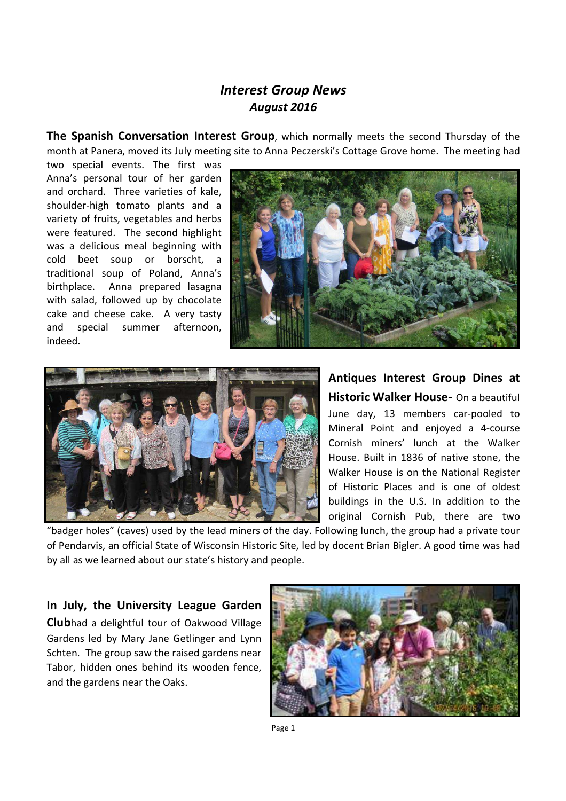## *Interest Group News August 2016*

**The Spanish Conversation Interest Group**, which normally meets the second Thursday of the month at Panera, moved its July meeting site to Anna Peczerski's Cottage Grove home. The meeting had

two special events. The first was Anna's personal tour of her garden and orchard. Three varieties of kale, shoulder-high tomato plants and a variety of fruits, vegetables and herbs were featured. The second highlight was a delicious meal beginning with cold beet soup or borscht, a traditional soup of Poland, Anna's birthplace. Anna prepared lasagna with salad, followed up by chocolate cake and cheese cake. A very tasty and special summer afternoon, indeed.





**Antiques Interest Group Dines at Historic Walker House**- On a beautiful June day, 13 members car-pooled to Mineral Point and enjoyed a 4-course Cornish miners' lunch at the Walker House. Built in 1836 of native stone, the Walker House is on the National Register of Historic Places and is one of oldest buildings in the U.S. In addition to the original Cornish Pub, there are two

"badger holes" (caves) used by the lead miners of the day. Following lunch, the group had a private tour of Pendarvis, an official State of Wisconsin Historic Site, led by docent Brian Bigler. A good time was had by all as we learned about our state's history and people.

## **In July, the University League Garden**

**Club**had a delightful tour of Oakwood Village Gardens led by Mary Jane Getlinger and Lynn Schten. The group saw the raised gardens near Tabor, hidden ones behind its wooden fence, and the gardens near the Oaks.



Page 1